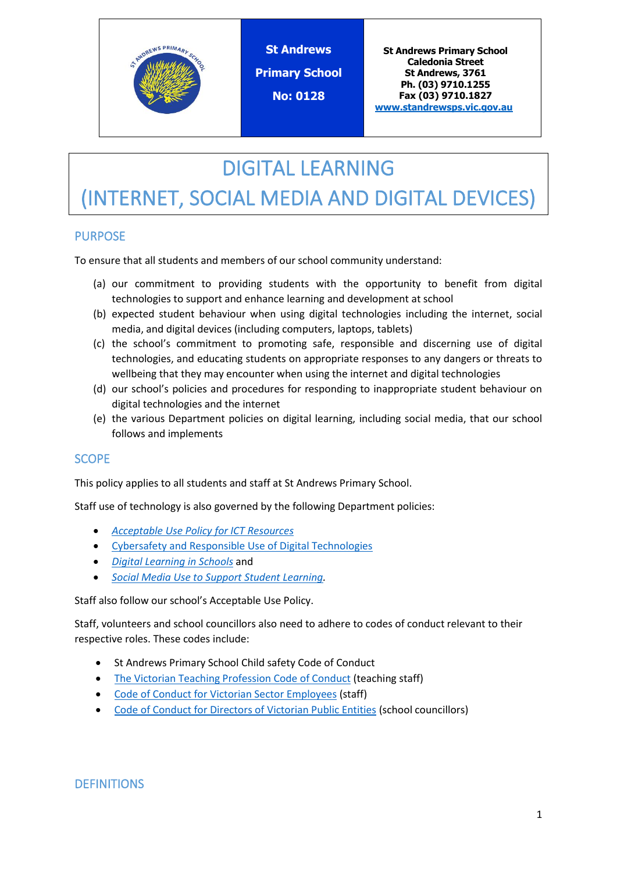

**St Andrews Primary School No: 0128**

**St Andrews Primary School Caledonia Street St Andrews, 3761 Ph. (03) 9710.1255 Fax (03) 9710.1827 [www.standrewsps.vic.gov.au](http://www.standrewsps.vic.gov.au/)**

# DIGITAL LEARNING

# (INTERNET, SOCIAL MEDIA AND DIGITAL DEVICES)

## PURPOSE

To ensure that all students and members of our school community understand:

- (a) our commitment to providing students with the opportunity to benefit from digital technologies to support and enhance learning and development at school
- (b) expected student behaviour when using digital technologies including the internet, social media, and digital devices (including computers, laptops, tablets)
- (c) the school's commitment to promoting safe, responsible and discerning use of digital technologies, and educating students on appropriate responses to any dangers or threats to wellbeing that they may encounter when using the internet and digital technologies
- (d) our school's policies and procedures for responding to inappropriate student behaviour on digital technologies and the internet
- (e) the various Department policies on digital learning, including social media, that our school follows and implements

## **SCOPE**

This policy applies to all students and staff at St Andrews Primary School.

Staff use of technology is also governed by the following Department policies:

- *[Acceptable Use Policy](https://www2.education.vic.gov.au/pal/ict-acceptable-use/overview) for ICT Resources*
- [Cybersafety and Responsible Use of Digital Technologies](https://www2.education.vic.gov.au/pal/cybersafety/policy)
- *[Digital Learning in Schools](https://www2.education.vic.gov.au/pal/digital-learning/policy)* and
- *[Social Media Use to Support Student Learning.](https://www2.education.vic.gov.au/pal/social-media/policy)*

Staff also follow our school's Acceptable Use Policy.

Staff, volunteers and school councillors also need to adhere to codes of conduct relevant to their respective roles. These codes include:

- St Andrews Primary School Child safety Code of Conduct
- [The Victorian Teaching Profession Code of Conduct](https://www.vit.vic.edu.au/__data/assets/pdf_file/0018/35604/Code-of-Conduct-2016.pdf) (teaching staff)
- [Code of Conduct for Victorian Sector Employees](https://www2.education.vic.gov.au/pal/code-conduct/overview) (staff)
- [Code of Conduct for Directors of Victorian Public Entities](https://www2.education.vic.gov.au/pal/school-council-conduct/policy) (school councillors)

## **DEFINITIONS**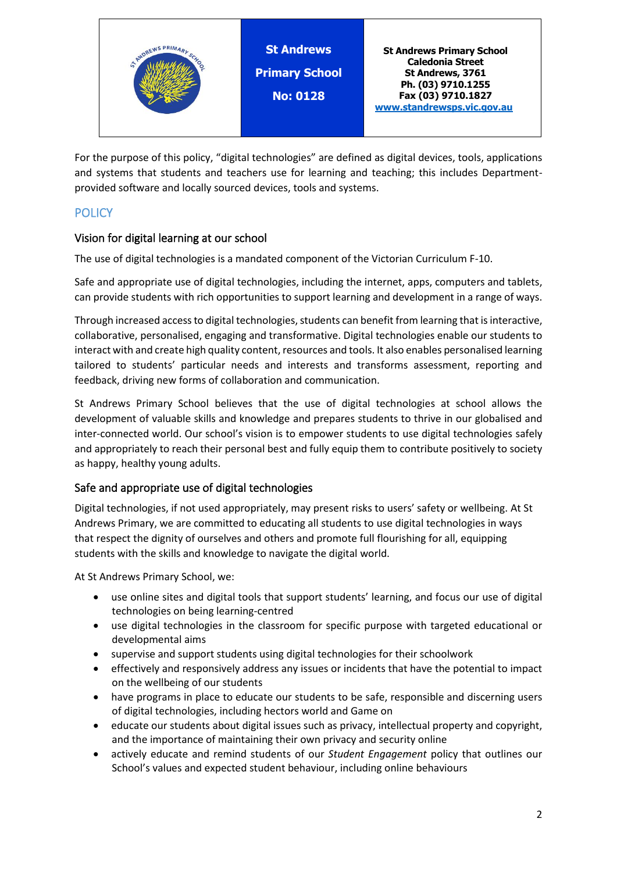

For the purpose of this policy, "digital technologies" are defined as digital devices, tools, applications and systems that students and teachers use for learning and teaching; this includes Departmentprovided software and locally sourced devices, tools and systems.

# **POLICY**

## Vision for digital learning at our school

The use of digital technologies is a mandated component of the Victorian Curriculum F-10.

Safe and appropriate use of digital technologies, including the internet, apps, computers and tablets, can provide students with rich opportunities to support learning and development in a range of ways.

Through increased access to digital technologies, students can benefit from learning that is interactive, collaborative, personalised, engaging and transformative. Digital technologies enable our students to interact with and create high quality content, resources and tools. It also enables personalised learning tailored to students' particular needs and interests and transforms assessment, reporting and feedback, driving new forms of collaboration and communication.

St Andrews Primary School believes that the use of digital technologies at school allows the development of valuable skills and knowledge and prepares students to thrive in our globalised and inter-connected world. Our school's vision is to empower students to use digital technologies safely and appropriately to reach their personal best and fully equip them to contribute positively to society as happy, healthy young adults.

## Safe and appropriate use of digital technologies

Digital technologies, if not used appropriately, may present risks to users' safety or wellbeing. At St Andrews Primary, we are committed to educating all students to use digital technologies in ways that respect the dignity of ourselves and others and promote full flourishing for all, equipping students with the skills and knowledge to navigate the digital world.

At St Andrews Primary School, we:

- use online sites and digital tools that support students' learning, and focus our use of digital technologies on being learning-centred
- use digital technologies in the classroom for specific purpose with targeted educational or developmental aims
- supervise and support students using digital technologies for their schoolwork
- effectively and responsively address any issues or incidents that have the potential to impact on the wellbeing of our students
- have programs in place to educate our students to be safe, responsible and discerning users of digital technologies, including hectors world and Game on
- educate our students about digital issues such as privacy, intellectual property and copyright, and the importance of maintaining their own privacy and security online
- actively educate and remind students of our *Student Engagement* policy that outlines our School's values and expected student behaviour, including online behaviours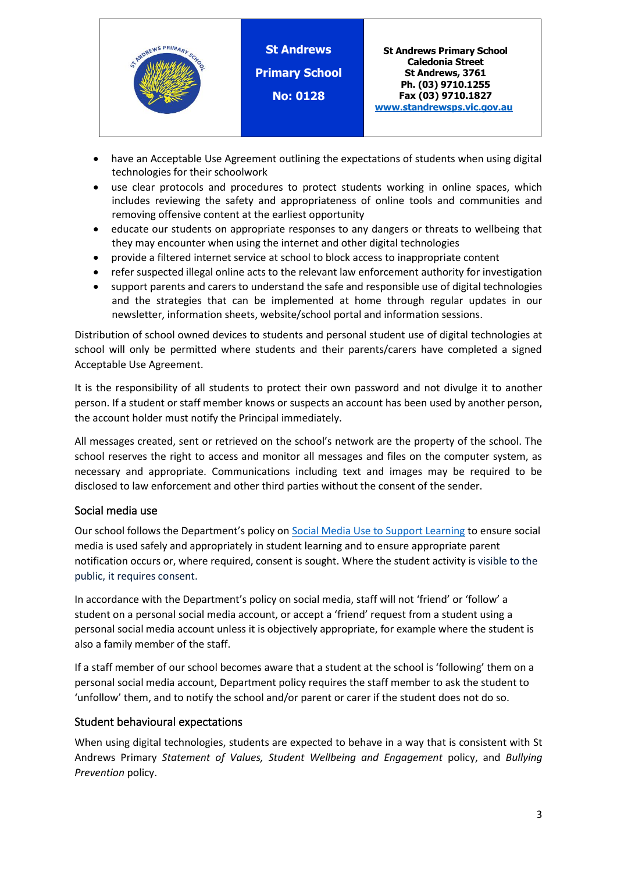

- have an Acceptable Use Agreement outlining the expectations of students when using digital technologies for their schoolwork
- use clear protocols and procedures to protect students working in online spaces, which includes reviewing the safety and appropriateness of online tools and communities and removing offensive content at the earliest opportunity
- educate our students on appropriate responses to any dangers or threats to wellbeing that they may encounter when using the internet and other digital technologies
- provide a filtered internet service at school to block access to inappropriate content
- refer suspected illegal online acts to the relevant law enforcement authority for investigation
- support parents and carers to understand the safe and responsible use of digital technologies and the strategies that can be implemented at home through regular updates in our newsletter, information sheets, website/school portal and information sessions.

Distribution of school owned devices to students and personal student use of digital technologies at school will only be permitted where students and their parents/carers have completed a signed Acceptable Use Agreement.

It is the responsibility of all students to protect their own password and not divulge it to another person. If a student or staff member knows or suspects an account has been used by another person, the account holder must notify the Principal immediately.

All messages created, sent or retrieved on the school's network are the property of the school. The school reserves the right to access and monitor all messages and files on the computer system, as necessary and appropriate. Communications including text and images may be required to be disclosed to law enforcement and other third parties without the consent of the sender.

#### Social media use

Our school follows the Department's policy on [Social Media Use to Support Learning](https://www2.education.vic.gov.au/pal/social-media/policy) to ensure social media is used safely and appropriately in student learning and to ensure appropriate parent notification occurs or, where required, consent is sought. Where the student activity is visible to the public, it requires consent.

In accordance with the Department's policy on social media, staff will not 'friend' or 'follow' a student on a personal social media account, or accept a 'friend' request from a student using a personal social media account unless it is objectively appropriate, for example where the student is also a family member of the staff.

If a staff member of our school becomes aware that a student at the school is 'following' them on a personal social media account, Department policy requires the staff member to ask the student to 'unfollow' them, and to notify the school and/or parent or carer if the student does not do so.

#### Student behavioural expectations

When using digital technologies, students are expected to behave in a way that is consistent with St Andrews Primary *Statement of Values, Student Wellbeing and Engagement* policy, and *Bullying Prevention* policy.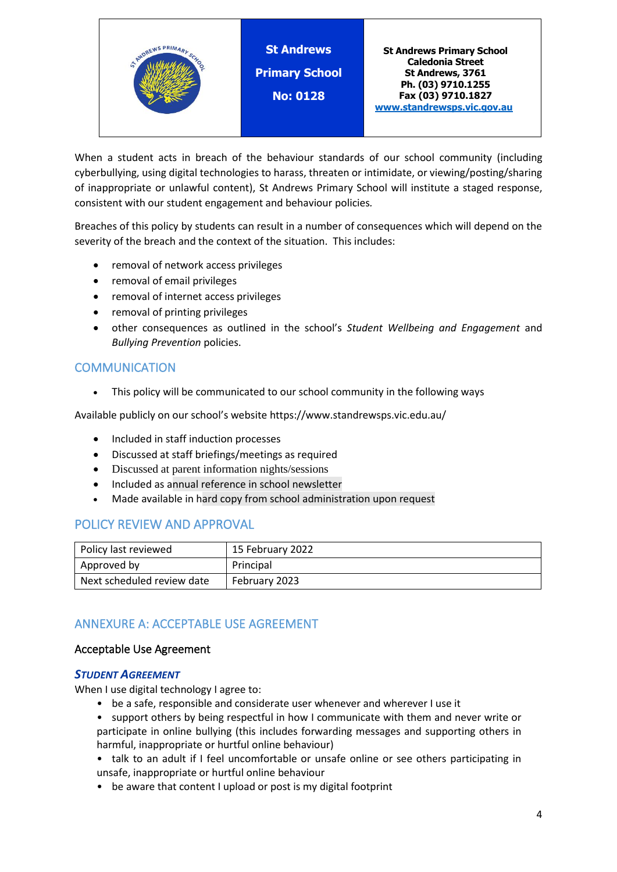

When a student acts in breach of the behaviour standards of our school community (including cyberbullying, using digital technologies to harass, threaten or intimidate, or viewing/posting/sharing of inappropriate or unlawful content), St Andrews Primary School will institute a staged response, consistent with our student engagement and behaviour policies*.*

Breaches of this policy by students can result in a number of consequences which will depend on the severity of the breach and the context of the situation. This includes:

- removal of network access privileges
- removal of email privileges
- removal of internet access privileges
- removal of printing privileges
- other consequences as outlined in the school's *Student Wellbeing and Engagement* and *Bullying Prevention* policies.

## **COMMUNICATION**

• This policy will be communicated to our school community in the following ways

Available publicly on our school's website https://www.standrewsps.vic.edu.au/

- Included in staff induction processes
- Discussed at staff briefings/meetings as required
- Discussed at parent information nights/sessions
- Included as annual reference in school newsletter
- Made available in hard copy from school administration upon request

## POLICY REVIEW AND APPROVAL

| Policy last reviewed       | 15 February 2022 |
|----------------------------|------------------|
| Approved by                | Principal        |
| Next scheduled review date | February 2023    |

## ANNEXURE A: ACCEPTABLE USE AGREEMENT

#### Acceptable Use Agreement

#### *STUDENT AGREEMENT*

When I use digital technology I agree to:

- be a safe, responsible and considerate user whenever and wherever I use it
- support others by being respectful in how I communicate with them and never write or participate in online bullying (this includes forwarding messages and supporting others in harmful, inappropriate or hurtful online behaviour)
- talk to an adult if I feel uncomfortable or unsafe online or see others participating in unsafe, inappropriate or hurtful online behaviour
- be aware that content I upload or post is my digital footprint